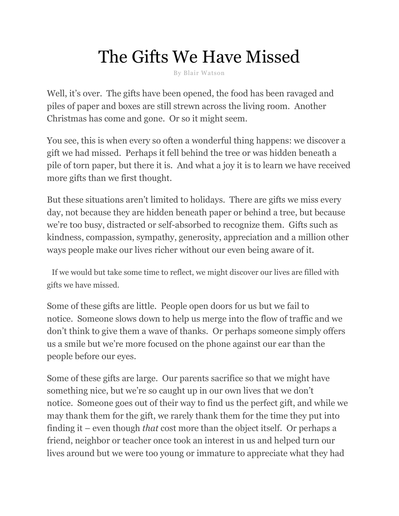## The Gifts We Have Missed

By Blair Watson

Well, it's over. The gifts have been opened, the food has been ravaged and piles of paper and boxes are still strewn across the living room. Another Christmas has come and gone. Or so it might seem.

You see, this is when every so often a wonderful thing happens: we discover a gift we had missed. Perhaps it fell behind the tree or was hidden beneath a pile of torn paper, but there it is. And what a joy it is to learn we have received more gifts than we first thought.

But these situations aren't limited to holidays. There are gifts we miss every day, not because they are hidden beneath paper or behind a tree, but because we're too busy, distracted or self-absorbed to recognize them. Gifts such as kindness, compassion, sympathy, generosity, appreciation and a million other ways people make our lives richer without our even being aware of it.

If we would but take some time to reflect, we might discover our lives are filled with gifts we have missed.

Some of these gifts are little. People open doors for us but we fail to notice. Someone slows down to help us merge into the flow of traffic and we don't think to give them a wave of thanks. Or perhaps someone simply offers us a smile but we're more focused on the phone against our ear than the people before our eyes.

Some of these gifts are large. Our parents sacrifice so that we might have something nice, but we're so caught up in our own lives that we don't notice. Someone goes out of their way to find us the perfect gift, and while we may thank them for the gift, we rarely thank them for the time they put into finding it – even though *that* cost more than the object itself. Or perhaps a friend, neighbor or teacher once took an interest in us and helped turn our lives around but we were too young or immature to appreciate what they had